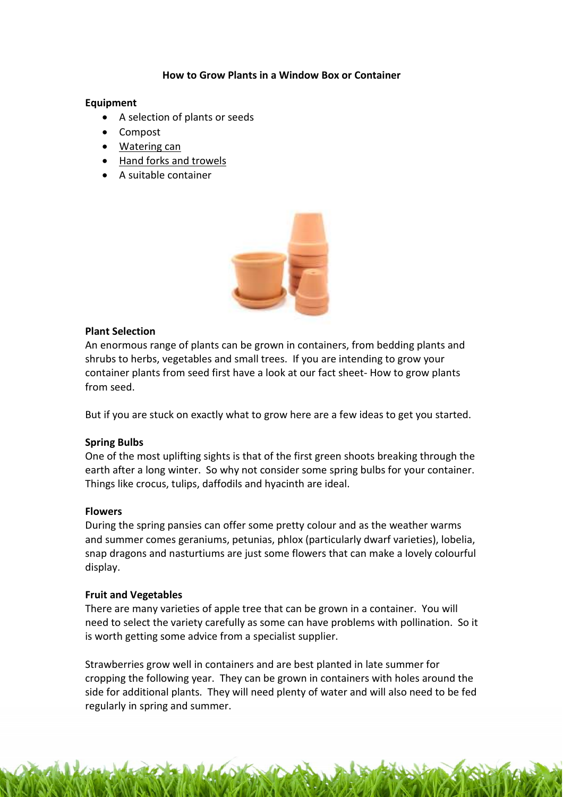# How to Grow Plants in a Window Box or Container

### **Equipment**

- A selection of plants or seeds
- Compost
- [Watering can](http://www.recycleworks.co.uk/non-spill-watering-can-c-298-p-4-pr-16173.html)
- [Hand forks and trowels](http://www.recycleworks.co.uk/sheds-and-gardening-equipment-c-301.html)
- A suitable container



# Plant Selection

An enormous range of plants can be grown in containers, from bedding plants and shrubs to herbs, vegetables and small trees. If you are intending to grow your container plants from seed first have a look at our fact sheet- How to grow plants from seed.

But if you are stuck on exactly what to grow here are a few ideas to get you started.

# Spring Bulbs

One of the most uplifting sights is that of the first green shoots breaking through the earth after a long winter. So why not consider some spring bulbs for your container. Things like crocus, tulips, daffodils and hyacinth are ideal.

#### **Flowers**

During the spring pansies can offer some pretty colour and as the weather warms and summer comes geraniums, petunias, phlox (particularly dwarf varieties), lobelia, snap dragons and nasturtiums are just some flowers that can make a lovely colourful display.

# Fruit and Vegetables

There are many varieties of apple tree that can be grown in a container. You will need to select the variety carefully as some can have problems with pollination. So it is worth getting some advice from a specialist supplier.

Strawberries grow well in containers and are best planted in late summer for cropping the following year. They can be grown in containers with holes around the side for additional plants. They will need plenty of water and will also need to be fed regularly in spring and summer.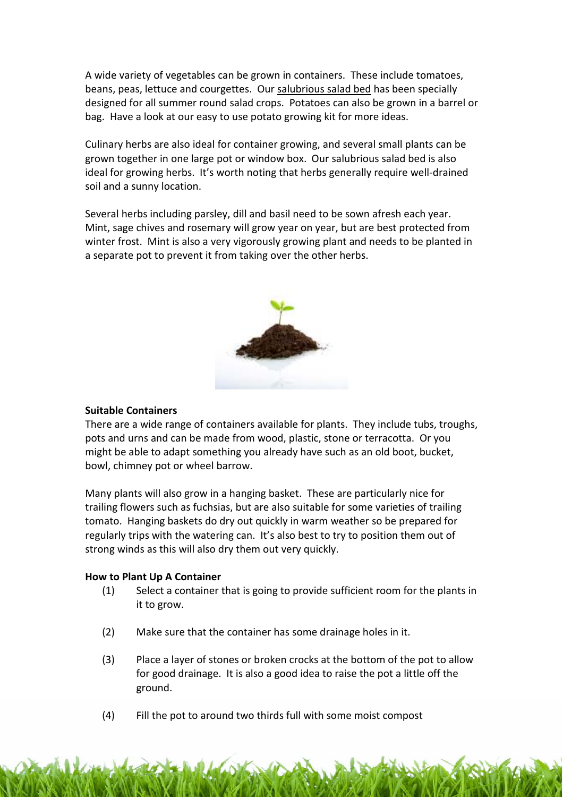A wide variety of vegetables can be grown in containers. These include tomatoes, beans, peas, lettuce and courgettes. Our [salubrious salad bed](http://www.recycleworks.co.uk/salubrious-salad-beds-c-298-p-2-pr-16303.html) has been specially designed for all summer round salad crops. Potatoes can also be grown in a barrel or bag. Have a look at our easy to use potato growing kit for more ideas.

Culinary herbs are also ideal for container growing, and several small plants can be grown together in one large pot or window box. Our salubrious salad bed is also ideal for growing herbs. It's worth noting that herbs generally require well-drained soil and a sunny location.

Several herbs including parsley, dill and basil need to be sown afresh each year. Mint, sage chives and rosemary will grow year on year, but are best protected from winter frost. Mint is also a very vigorously growing plant and needs to be planted in a separate pot to prevent it from taking over the other herbs.



### Suitable Containers

There are a wide range of containers available for plants. They include tubs, troughs, pots and urns and can be made from wood, plastic, stone or terracotta. Or you might be able to adapt something you already have such as an old boot, bucket, bowl, chimney pot or wheel barrow.

Many plants will also grow in a hanging basket. These are particularly nice for trailing flowers such as fuchsias, but are also suitable for some varieties of trailing tomato. Hanging baskets do dry out quickly in warm weather so be prepared for regularly trips with the watering can. It's also best to try to position them out of strong winds as this will also dry them out very quickly.

#### How to Plant Up A Container

- (1) Select a container that is going to provide sufficient room for the plants in it to grow.
- (2) Make sure that the container has some drainage holes in it.
- (3) Place a layer of stones or broken crocks at the bottom of the pot to allow for good drainage. It is also a good idea to raise the pot a little off the ground.
- (4) Fill the pot to around two thirds full with some moist compost